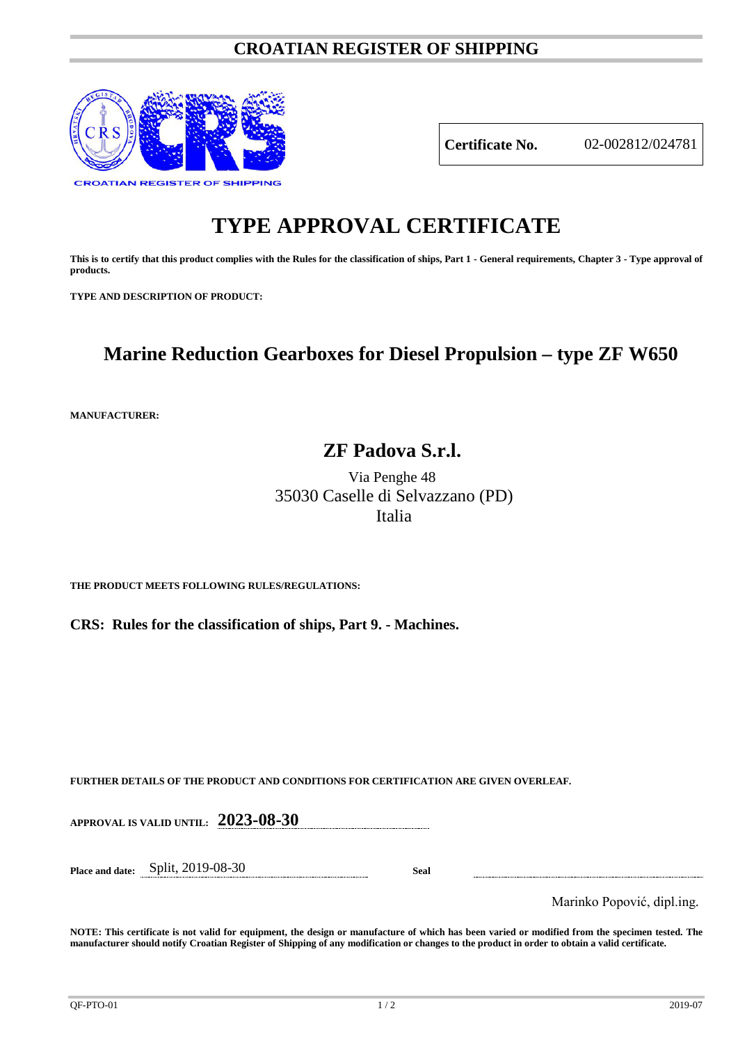### **CROATIAN REGISTER OF SHIPPING**



**Certificate No.** 02-002812/024781

# **TYPE APPROVAL CERTIFICATE**

**This is to certify that this product complies with the Rules for the classification of ships, Part 1 - General requirements, Chapter 3 - Type approval of products.**

**TYPE AND DESCRIPTION OF PRODUCT:** 

## **Marine Reduction Gearboxes for Diesel Propulsion – type ZF W650**

**MANUFACTURER:**

### **ZF Padova S.r.l.**

Via Penghe 48 35030 Caselle di Selvazzano (PD) Italia

**THE PRODUCT MEETS FOLLOWING RULES/REGULATIONS:**

**CRS: Rules for the classification of ships, Part 9. - Machines.**

**FURTHER DETAILS OF THE PRODUCT AND CONDITIONS FOR CERTIFICATION ARE GIVEN OVERLEAF.**

**APPROVAL IS VALID UNTIL: 2023-08-30**

**Place and date:** Split, 2019-08-30 **Seal**

Marinko Popović, dipl.ing.

**NOTE: This certificate is not valid for equipment, the design or manufacture of which has been varied or modified from the specimen tested. The manufacturer should notify Croatian Register of Shipping of any modification or changes to the product in order to obtain a valid certificate.**